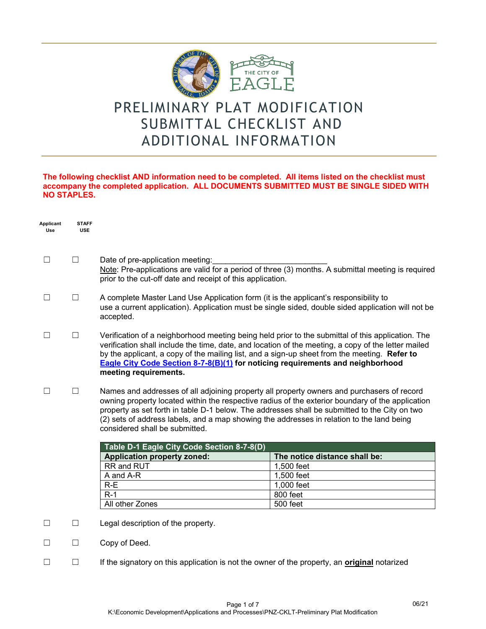

# PRELIMINARY PLAT MODIFICATION SUBMITTAL CHECKLIST AND ADDITIONAL INFORMATION

### **The following checklist AND information need to be completed. All items listed on the checklist must accompany the completed application. ALL DOCUMENTS SUBMITTED MUST BE SINGLE SIDED WITH NO STAPLES.**

| Applicant<br>Use | <b>STAFF</b><br><b>USE</b> |                                                                                                                                                                                                                                                                                                                                                                                                                                                                              |                               |  |
|------------------|----------------------------|------------------------------------------------------------------------------------------------------------------------------------------------------------------------------------------------------------------------------------------------------------------------------------------------------------------------------------------------------------------------------------------------------------------------------------------------------------------------------|-------------------------------|--|
| $\Box$           | П                          | Date of pre-application meeting:<br>Note: Pre-applications are valid for a period of three (3) months. A submittal meeting is required<br>prior to the cut-off date and receipt of this application.                                                                                                                                                                                                                                                                         |                               |  |
| П                | □                          | A complete Master Land Use Application form (it is the applicant's responsibility to<br>use a current application). Application must be single sided, double sided application will not be<br>accepted.                                                                                                                                                                                                                                                                      |                               |  |
| $\Box$           | □                          | Verification of a neighborhood meeting being held prior to the submittal of this application. The<br>verification shall include the time, date, and location of the meeting, a copy of the letter mailed<br>by the applicant, a copy of the mailing list, and a sign-up sheet from the meeting. Refer to<br><b>Eagle City Code Section 8-7-8(B)(1) for noticing requirements and neighborhood</b><br>meeting requirements.                                                   |                               |  |
| П                | $\Box$                     | Names and addresses of all adjoining property all property owners and purchasers of record<br>owning property located within the respective radius of the exterior boundary of the application<br>property as set forth in table D-1 below. The addresses shall be submitted to the City on two<br>(2) sets of address labels, and a map showing the addresses in relation to the land being<br>considered shall be submitted.<br>Table D-1 Eagle City Code Section 8-7-8(D) |                               |  |
|                  |                            |                                                                                                                                                                                                                                                                                                                                                                                                                                                                              |                               |  |
|                  |                            | <b>Application property zoned:</b>                                                                                                                                                                                                                                                                                                                                                                                                                                           | The notice distance shall be: |  |
|                  |                            | RR and RUT                                                                                                                                                                                                                                                                                                                                                                                                                                                                   | 1,500 feet                    |  |
|                  |                            | A and A-R                                                                                                                                                                                                                                                                                                                                                                                                                                                                    | 1,500 feet                    |  |
|                  |                            | $R-E$<br>$R-1$                                                                                                                                                                                                                                                                                                                                                                                                                                                               | 1,000 feet<br>800 feet        |  |
|                  |                            | All other Zones                                                                                                                                                                                                                                                                                                                                                                                                                                                              | 500 feet                      |  |
|                  |                            |                                                                                                                                                                                                                                                                                                                                                                                                                                                                              |                               |  |
| □                | □                          | Legal description of the property.                                                                                                                                                                                                                                                                                                                                                                                                                                           |                               |  |
| $\Box$           | □                          | Copy of Deed.                                                                                                                                                                                                                                                                                                                                                                                                                                                                |                               |  |
|                  |                            | If the signatory on this application is not the owner of the property, an <b>original</b> notarized                                                                                                                                                                                                                                                                                                                                                                          |                               |  |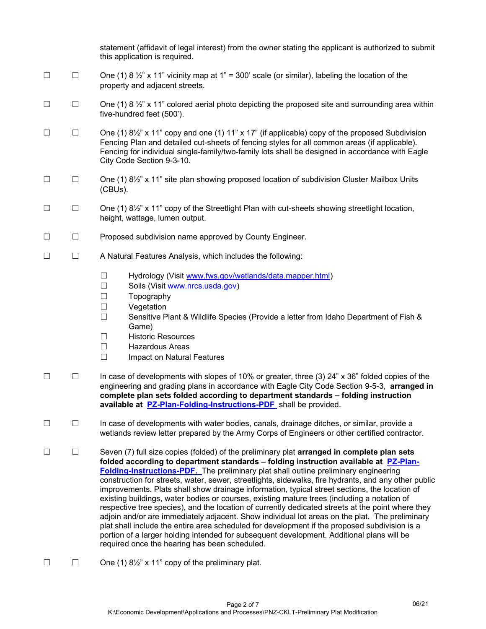|        |        | statement (affidavit of legal interest) from the owner stating the applicant is authorized to submit<br>this application is required.                                                                                                                                                                                                                                                                                                                                                                                                                                                                                                                                                                                                                                                                                                                                                                                                                                                                                                           |
|--------|--------|-------------------------------------------------------------------------------------------------------------------------------------------------------------------------------------------------------------------------------------------------------------------------------------------------------------------------------------------------------------------------------------------------------------------------------------------------------------------------------------------------------------------------------------------------------------------------------------------------------------------------------------------------------------------------------------------------------------------------------------------------------------------------------------------------------------------------------------------------------------------------------------------------------------------------------------------------------------------------------------------------------------------------------------------------|
| $\Box$ | $\Box$ | One (1) 8 $\frac{1}{2}$ " x 11" vicinity map at 1" = 300' scale (or similar), labeling the location of the<br>property and adjacent streets.                                                                                                                                                                                                                                                                                                                                                                                                                                                                                                                                                                                                                                                                                                                                                                                                                                                                                                    |
| $\Box$ | $\Box$ | One (1) 8 $\frac{1}{2}$ " x 11" colored aerial photo depicting the proposed site and surrounding area within<br>five-hundred feet (500').                                                                                                                                                                                                                                                                                                                                                                                                                                                                                                                                                                                                                                                                                                                                                                                                                                                                                                       |
| $\Box$ | $\Box$ | One (1) $8\frac{1}{2}$ " x 11" copy and one (1) 11" x 17" (if applicable) copy of the proposed Subdivision<br>Fencing Plan and detailed cut-sheets of fencing styles for all common areas (if applicable).<br>Fencing for individual single-family/two-family lots shall be designed in accordance with Eagle<br>City Code Section 9-3-10.                                                                                                                                                                                                                                                                                                                                                                                                                                                                                                                                                                                                                                                                                                      |
| $\Box$ | $\Box$ | One (1) 81/2" x 11" site plan showing proposed location of subdivision Cluster Mailbox Units<br>(CBUs).                                                                                                                                                                                                                                                                                                                                                                                                                                                                                                                                                                                                                                                                                                                                                                                                                                                                                                                                         |
| $\Box$ | $\Box$ | One (1) 8 <sup>1/2</sup> x 11" copy of the Streetlight Plan with cut-sheets showing streetlight location,<br>height, wattage, lumen output.                                                                                                                                                                                                                                                                                                                                                                                                                                                                                                                                                                                                                                                                                                                                                                                                                                                                                                     |
| $\Box$ | $\Box$ | Proposed subdivision name approved by County Engineer.                                                                                                                                                                                                                                                                                                                                                                                                                                                                                                                                                                                                                                                                                                                                                                                                                                                                                                                                                                                          |
| □      | $\Box$ | A Natural Features Analysis, which includes the following:                                                                                                                                                                                                                                                                                                                                                                                                                                                                                                                                                                                                                                                                                                                                                                                                                                                                                                                                                                                      |
|        |        | $\Box$<br>Hydrology (Visit www.fws.gov/wetlands/data.mapper.html)<br>Soils (Visit www.nrcs.usda.gov)<br>□<br>Topography<br>□<br>Vegetation<br>$\Box$<br>$\Box$<br>Sensitive Plant & Wildlife Species (Provide a letter from Idaho Department of Fish &<br>Game)<br><b>Historic Resources</b><br>□<br>$\Box$<br><b>Hazardous Areas</b><br>$\Box$<br>Impact on Natural Features                                                                                                                                                                                                                                                                                                                                                                                                                                                                                                                                                                                                                                                                   |
| □      | □      | In case of developments with slopes of 10% or greater, three (3) $24" \times 36"$ folded copies of the<br>engineering and grading plans in accordance with Eagle City Code Section 9-5-3, arranged in<br>complete plan sets folded according to department standards - folding instruction<br>available at PZ-Plan-Folding-Instructions-PDF shall be provided.                                                                                                                                                                                                                                                                                                                                                                                                                                                                                                                                                                                                                                                                                  |
| $\Box$ | $\Box$ | In case of developments with water bodies, canals, drainage ditches, or similar, provide a<br>wetlands review letter prepared by the Army Corps of Engineers or other certified contractor.                                                                                                                                                                                                                                                                                                                                                                                                                                                                                                                                                                                                                                                                                                                                                                                                                                                     |
| $\Box$ | $\Box$ | Seven (7) full size copies (folded) of the preliminary plat arranged in complete plan sets<br>folded according to department standards - folding instruction available at PZ-Plan-<br><b>Folding-Instructions-PDF.</b> The preliminary plat shall outline preliminary engineering<br>construction for streets, water, sewer, streetlights, sidewalks, fire hydrants, and any other public<br>improvements. Plats shall show drainage information, typical street sections, the location of<br>existing buildings, water bodies or courses, existing mature trees (including a notation of<br>respective tree species), and the location of currently dedicated streets at the point where they<br>adjoin and/or are immediately adjacent. Show individual lot areas on the plat. The preliminary<br>plat shall include the entire area scheduled for development if the proposed subdivision is a<br>portion of a larger holding intended for subsequent development. Additional plans will be<br>required once the hearing has been scheduled. |
|        |        |                                                                                                                                                                                                                                                                                                                                                                                                                                                                                                                                                                                                                                                                                                                                                                                                                                                                                                                                                                                                                                                 |

☐ ☐ One (1) 8½" x 11" copy of the preliminary plat.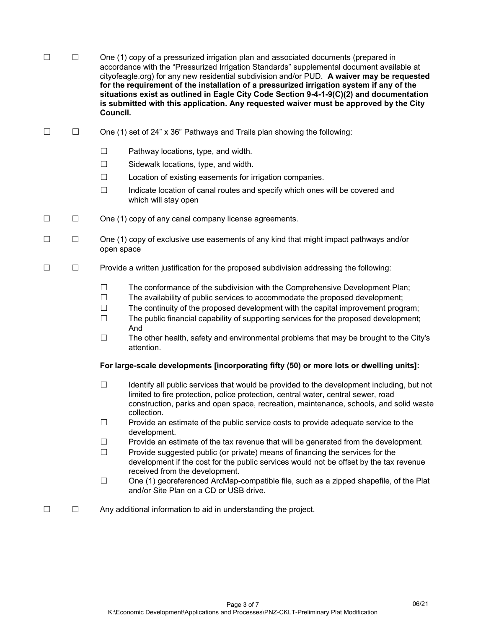- ☐ ☐ One (1) copy of a pressurized irrigation plan and associated documents (prepared in accordance with the "Pressurized Irrigation Standards" supplemental document available at cityofeagle.org) for any new residential subdivision and/or PUD. **A waiver may be requested for the requirement of the installation of a pressurized irrigation system if any of the situations exist as outlined in Eagle City Code Section 9-4-1-9(C)(2) and documentation is submitted with this application. Any requested waiver must be approved by the City Council.**
- $\Box$  One (1) set of 24" x 36" Pathways and Trails plan showing the following:
	- ☐ Pathway locations, type, and width.
	- $\Box$  Sidewalk locations, type, and width.
	- ☐ Location of existing easements for irrigation companies.
	- $\Box$  Indicate location of canal routes and specify which ones will be covered and which will stay open
- ☐ ☐ One (1) copy of any canal company license agreements.
- ☐ ☐ One (1) copy of exclusive use easements of any kind that might impact pathways and/or open space
- ☐ ☐ Provide a written justification for the proposed subdivision addressing the following:
	- $\Box$  The conformance of the subdivision with the Comprehensive Development Plan;
	- $\Box$  The availability of public services to accommodate the proposed development;
	- $\Box$  The continuity of the proposed development with the capital improvement program;
	- $\Box$  The public financial capability of supporting services for the proposed development; And
	- $\Box$  The other health, safety and environmental problems that may be brought to the City's attention.

#### **For large-scale developments [incorporating fifty (50) or more lots or dwelling units]:**

- $\Box$  Identify all public services that would be provided to the development including, but not limited to fire protection, police protection, central water, central sewer, road construction, parks and open space, recreation, maintenance, schools, and solid waste collection.
- $\Box$  Provide an estimate of the public service costs to provide adequate service to the development.
- $\Box$  Provide an estimate of the tax revenue that will be generated from the development.
- $\Box$  Provide suggested public (or private) means of financing the services for the development if the cost for the public services would not be offset by the tax revenue received from the development.
- ☐ One (1) georeferenced ArcMap-compatible file, such as a zipped shapefile, of the Plat and/or Site Plan on a CD or USB drive.
- $\Box$   $\Box$  Any additional information to aid in understanding the project.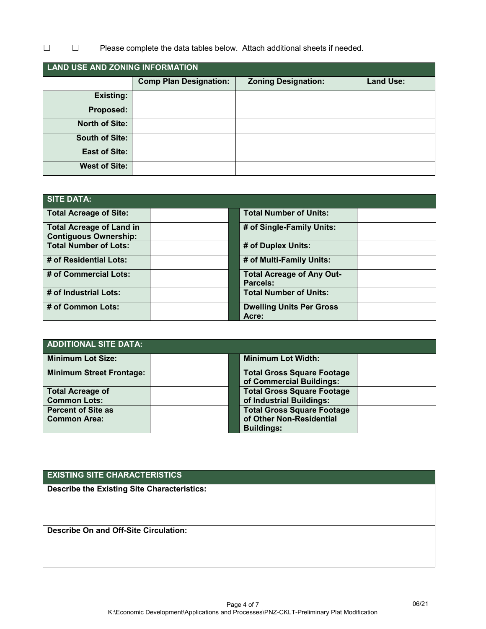☐ ☐ Please complete the data tables below. Attach additional sheets if needed.

| LAND USE AND ZONING INFORMATION |                               |                            |                  |
|---------------------------------|-------------------------------|----------------------------|------------------|
|                                 | <b>Comp Plan Designation:</b> | <b>Zoning Designation:</b> | <b>Land Use:</b> |
| Existing:                       |                               |                            |                  |
| Proposed:                       |                               |                            |                  |
| North of Site:                  |                               |                            |                  |
| <b>South of Site:</b>           |                               |                            |                  |
| <b>East of Site:</b>            |                               |                            |                  |
| <b>West of Site:</b>            |                               |                            |                  |

| <b>SITE DATA:</b>                                               |                                              |  |
|-----------------------------------------------------------------|----------------------------------------------|--|
| <b>Total Acreage of Site:</b>                                   | <b>Total Number of Units:</b>                |  |
| <b>Total Acreage of Land in</b><br><b>Contiguous Ownership:</b> | # of Single-Family Units:                    |  |
| <b>Total Number of Lots:</b>                                    | # of Duplex Units:                           |  |
| # of Residential Lots:                                          | # of Multi-Family Units:                     |  |
| # of Commercial Lots:                                           | <b>Total Acreage of Any Out-</b><br>Parcels: |  |
| # of Industrial Lots:                                           | <b>Total Number of Units:</b>                |  |
| # of Common Lots:                                               | <b>Dwelling Units Per Gross</b><br>Acre:     |  |

| ADDITIONAL SITE DATA:           |  |                                                               |  |
|---------------------------------|--|---------------------------------------------------------------|--|
| <b>Minimum Lot Size:</b>        |  | <b>Minimum Lot Width:</b>                                     |  |
| <b>Minimum Street Frontage:</b> |  | <b>Total Gross Square Footage</b><br>of Commercial Buildings: |  |
| <b>Total Acreage of</b>         |  | <b>Total Gross Square Footage</b>                             |  |
| <b>Common Lots:</b>             |  | of Industrial Buildings:                                      |  |
| <b>Percent of Site as</b>       |  | <b>Total Gross Square Footage</b>                             |  |
| <b>Common Area:</b>             |  | of Other Non-Residential                                      |  |
|                                 |  | <b>Buildings:</b>                                             |  |

## **EXISTING SITE CHARACTERISTICS**

**Describe the Existing Site Characteristics:** 

**Describe On and Off-Site Circulation:** 

Page 4 of 7 K:\Economic Development\Applications and Processes\PNZ-CKLT-Preliminary Plat Modification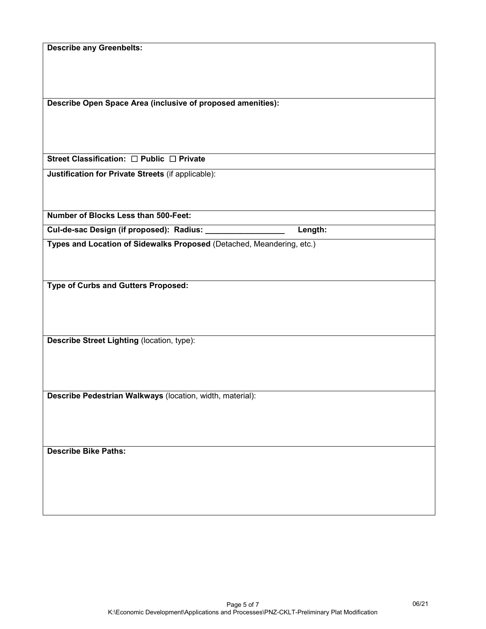| <b>Describe any Greenbelts:</b>                                       |
|-----------------------------------------------------------------------|
|                                                                       |
|                                                                       |
| Describe Open Space Area (inclusive of proposed amenities):           |
|                                                                       |
|                                                                       |
| Street Classification: □ Public □ Private                             |
|                                                                       |
| Justification for Private Streets (if applicable):                    |
|                                                                       |
| <b>Number of Blocks Less than 500-Feet:</b>                           |
| Cul-de-sac Design (if proposed): Radius: ____<br>Length:              |
| Types and Location of Sidewalks Proposed (Detached, Meandering, etc.) |
|                                                                       |
|                                                                       |
| <b>Type of Curbs and Gutters Proposed:</b>                            |
|                                                                       |
|                                                                       |
|                                                                       |
| Describe Street Lighting (location, type):                            |
|                                                                       |
|                                                                       |
|                                                                       |
| Describe Pedestrian Walkways (location, width, material):             |
|                                                                       |
|                                                                       |
|                                                                       |
| <b>Describe Bike Paths:</b>                                           |
|                                                                       |
|                                                                       |
|                                                                       |
|                                                                       |
|                                                                       |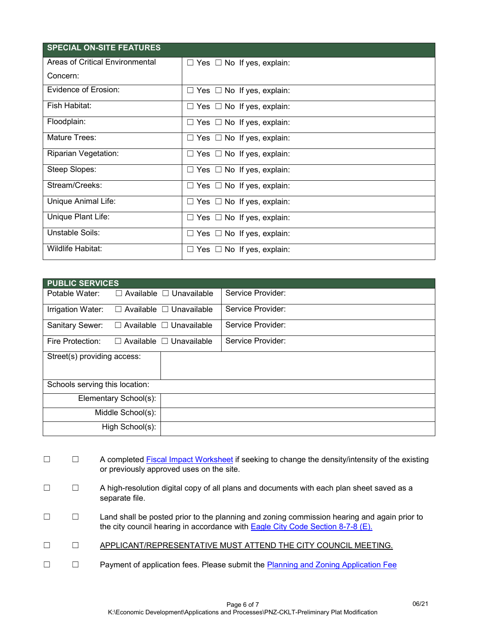| <b>SPECIAL ON-SITE FEATURES</b> |                                       |
|---------------------------------|---------------------------------------|
| Areas of Critical Environmental | $\Box$ Yes $\Box$ No If yes, explain: |
| Concern:                        |                                       |
| Evidence of Erosion:            | $\Box$ Yes $\Box$ No If yes, explain: |
| Fish Habitat:                   | $\Box$ Yes $\Box$ No If yes, explain: |
| Floodplain:                     | $\Box$ Yes $\Box$ No If yes, explain: |
| Mature Trees:                   | $\Box$ Yes $\Box$ No If yes, explain: |
| Riparian Vegetation:            | $\Box$ Yes $\Box$ No If yes, explain: |
| Steep Slopes:                   | $\Box$ Yes $\Box$ No If yes, explain: |
| Stream/Creeks:                  | $\Box$ Yes $\Box$ No If yes, explain: |
| Unique Animal Life:             | $\Box$ Yes $\Box$ No If yes, explain: |
| Unique Plant Life:              | $\Box$ Yes $\Box$ No If yes, explain: |
| Unstable Soils:                 | $\Box$ Yes $\Box$ No If yes, explain: |
| Wildlife Habitat:               | $\Box$ Yes $\Box$ No If yes, explain: |

| <b>PUBLIC SERVICES</b>               |                                     |                   |
|--------------------------------------|-------------------------------------|-------------------|
| Potable Water:                       | $\Box$ Available $\Box$ Unavailable | Service Provider: |
| Irrigation Water:                    | $\Box$ Available $\Box$ Unavailable | Service Provider: |
| Sanitary Sewer:<br>$\Box$ Available  | $\Box$ Unavailable                  | Service Provider: |
| $\Box$ Available<br>Fire Protection: | $\Box$ Unavailable                  | Service Provider: |
| Street(s) providing access:          |                                     |                   |
| Schools serving this location:       |                                     |                   |
| Elementary School(s):                |                                     |                   |
| Middle School(s):                    |                                     |                   |
| High School(s):                      |                                     |                   |

| $\Box$ | A completed <b>Fiscal Impact Worksheet</b> if seeking to change the density/intensity of the existing<br>or previously approved uses on the site.                             |
|--------|-------------------------------------------------------------------------------------------------------------------------------------------------------------------------------|
| □      | A high-resolution digital copy of all plans and documents with each plan sheet saved as a<br>separate file.                                                                   |
| □      | Land shall be posted prior to the planning and zoning commission hearing and again prior to<br>the city council hearing in accordance with Eagle City Code Section 8-7-8 (E). |
| П      | APPLICANT/REPRESENTATIVE MUST ATTEND THE CITY COUNCIL MEETING.                                                                                                                |
| ×      | Payment of application fees. Please submit the Planning and Zoning Application Fee                                                                                            |